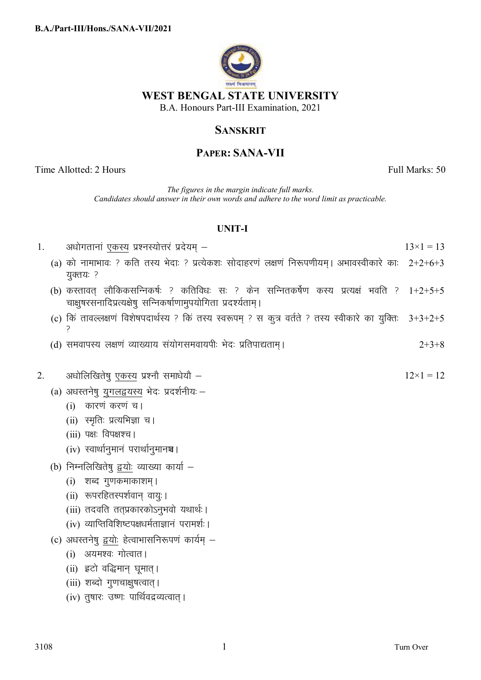

## **SANSKRIT**

# **PAPER: SANA-VII**

Time Allotted: 2 Hours Full Marks: 50

*The figures in the margin indicate full marks. Candidates should answer in their own words and adhere to the word limit as practicable.*

### **UNIT-I**

| 1. | अधोगतानां एकस्य प्रश्नस्योत्तरं प्रदेयम् –                                                                                                                    | $13\times1=13$ |
|----|---------------------------------------------------------------------------------------------------------------------------------------------------------------|----------------|
|    | (a) को नामाभावः ? कति तस्य भेदाः ? प्रत्येकशः सोदाहरणं लक्षणं निरूपणीयम् । अभावस्वीकारे काः 2+2+6+3<br>युक्तयः ?                                              |                |
|    | (b) करतावत् लौकिकसन्निकर्षः ? कतिविधः सः ? केन सन्नितकर्षेण कस्य प्रत्यक्षं भवति ? 1+2+5+5<br>चाक्षुषरसनादिप्रत्यक्षेषु सन्निकर्षाणामुपयोगिता प्रदर्श्यताम् । |                |
|    | (c) किं तावल्लक्षणं विशेषपदार्थस्य ? किं तस्य स्वरूपम् ? स कुत्र वर्तते ? तस्य स्वीकारे का युक्तिः                                                            | $3+3+2+5$      |
|    | (d) समवापस्य लक्षणं व्याख्याय संयोगसमवायपीः भेदः प्रतिपाद्यताम् ।                                                                                             | $2+3+8$        |
| 2. | अधोलिखितेषु एकस्य प्रश्नौ समाधेयौ –                                                                                                                           | $12\times1=12$ |
|    | (a) अधस्तनेषु युगलद्वयस्य भेदः प्रदर्शनीयः –                                                                                                                  |                |
|    | (i) कारणं करणं च।                                                                                                                                             |                |
|    | (ii) स्मृतिः प्रत्यभिज्ञा च।                                                                                                                                  |                |
|    | $(iii)$ पक्षः विपक्षश्च।                                                                                                                                      |                |
|    | (iv) स्वार्थानुमानं परार्थानुमानञ्च ।                                                                                                                         |                |
|    | (b) निम्नलिखितेषु द्वयोः व्याख्या कार्या –                                                                                                                    |                |
|    | (i) शब्द गुणकमाकाशम् ।                                                                                                                                        |                |
|    | (ii) रूपरहितस्पर्शवान् वायुः।                                                                                                                                 |                |
|    | (iii) तदवति तत्प्रकारकोऽनुभवो यथार्थः ।                                                                                                                       |                |
|    | (iv) व्याप्तिविशिष्टपक्षधर्मताज्ञानं परामर्शः ।                                                                                                               |                |
|    | (c) अधस्तनेषु द्वयोः हेत्वाभासनिरूपणं कार्यम् –                                                                                                               |                |
|    | (i) अयमश्वः गोत्वात ।                                                                                                                                         |                |
|    | (ii) इटो वद्धिमान् घूमात्।                                                                                                                                    |                |
|    | (iii) शब्दो गुणचाक्षुषत्वात् ।                                                                                                                                |                |

(iv) तुषारः उष्णः पार्थिवद्रव्यत्वात् ।